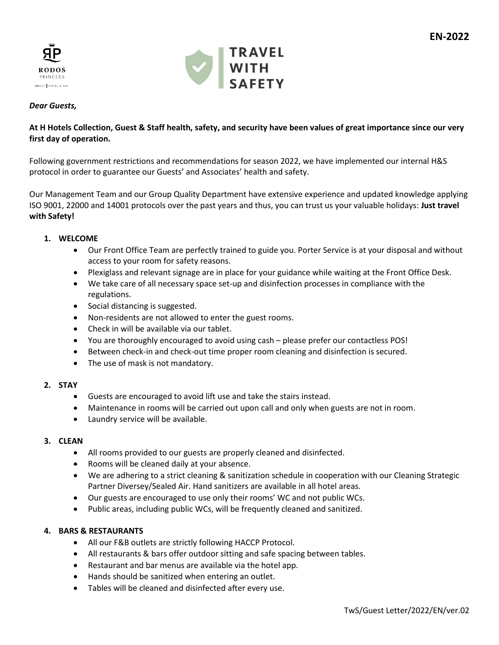



# *Dear Guests,*

# **At H Hotels Collection, Guest & Staff health, safety, and security have been values of great importance since our very first day of operation.**

Following government restrictions and recommendations for season 2022, we have implemented our internal H&S protocol in order to guarantee our Guests' and Associates' health and safety.

Our Management Team and our Group Quality Department have extensive experience and updated knowledge applying ISO 9001, 22000 and 14001 protocols over the past years and thus, you can trust us your valuable holidays: **Just travel with Safety!**

## **1. WELCOME**

- Our Front Office Team are perfectly trained to guide you. Porter Service is at your disposal and without access to your room for safety reasons.
- Plexiglass and relevant signage are in place for your guidance while waiting at the Front Office Desk.
- We take care of all necessary space set-up and disinfection processes in compliance with the regulations.
- Social distancing is suggested.
- Non-residents are not allowed to enter the guest rooms.
- Check in will be available via our tablet.
- You are thoroughly encouraged to avoid using cash please prefer our contactless POS!
- Between check-in and check-out time proper room cleaning and disinfection is secured.
- The use of mask is not mandatory.

## **2. STAY**

- Guests are encouraged to avoid lift use and take the stairs instead.
- Maintenance in rooms will be carried out upon call and only when guests are not in room.
- Laundry service will be available.

## **3. CLEAN**

- All rooms provided to our guests are properly cleaned and disinfected.
- Rooms will be cleaned daily at your absence.
- We are adhering to a strict cleaning & sanitization schedule in cooperation with our Cleaning Strategic Partner Diversey/Sealed Air. Hand sanitizers are available in all hotel areas.
- Our guests are encouraged to use only their rooms' WC and not public WCs.
- Public areas, including public WCs, will be frequently cleaned and sanitized.

## **4. BARS & RESTAURANTS**

- All our F&B outlets are strictly following HACCP Protocol.
- All restaurants & bars offer outdoor sitting and safe spacing between tables.
- Restaurant and bar menus are available via the hotel app.
- Hands should be sanitized when entering an outlet.
- Tables will be cleaned and disinfected after every use.